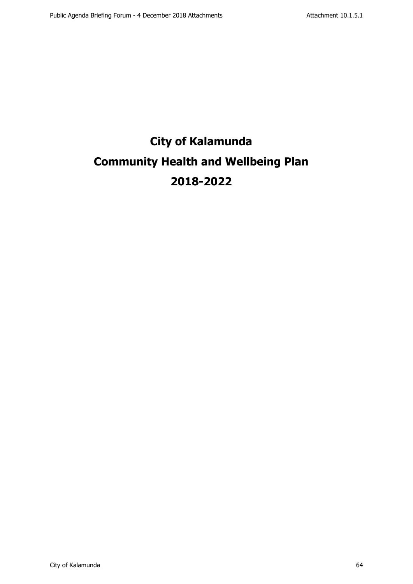# **City of Kalamunda Community Health and Wellbeing Plan 2018-2022**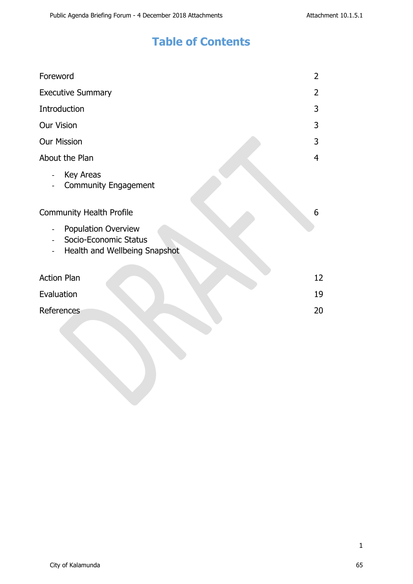## **Table of Contents**

| Foreword                                                                                                                   | 2  |
|----------------------------------------------------------------------------------------------------------------------------|----|
| <b>Executive Summary</b>                                                                                                   | 2  |
| Introduction                                                                                                               | 3  |
| <b>Our Vision</b>                                                                                                          | 3  |
| <b>Our Mission</b>                                                                                                         | 3  |
| About the Plan                                                                                                             | 4  |
| Key Areas<br>$\blacksquare$<br><b>Community Engagement</b><br>$\blacksquare$                                               |    |
| <b>Community Health Profile</b>                                                                                            | 6  |
| <b>Population Overview</b><br>$\overline{\phantom{0}}$<br>Socio-Economic Status<br>$\sim$<br>Health and Wellbeing Snapshot |    |
| <b>Action Plan</b>                                                                                                         | 12 |
| Evaluation                                                                                                                 | 19 |
| References                                                                                                                 | 20 |
|                                                                                                                            |    |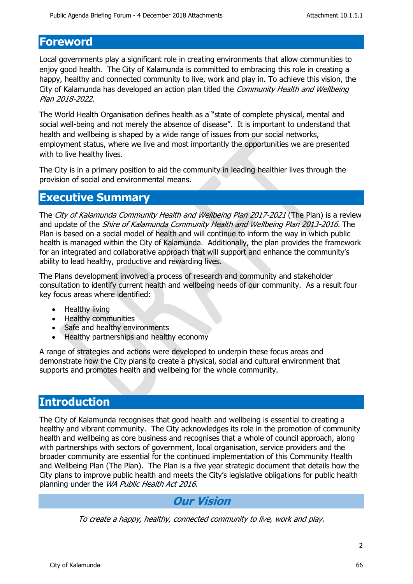### **Foreword**

Local governments play a significant role in creating environments that allow communities to enjoy good health. The City of Kalamunda is committed to embracing this role in creating a happy, healthy and connected community to live, work and play in. To achieve this vision, the City of Kalamunda has developed an action plan titled the *Community Health and Wellbeing Plan 2018-2022*.

The World Health Organisation defines health as a "state of complete physical, mental and social well-being and not merely the absence of disease". It is important to understand that health and wellbeing is shaped by a wide range of issues from our social networks, employment status, where we live and most importantly the opportunities we are presented with to live healthy lives.

The City is in a primary position to aid the community in leading healthier lives through the provision of social and environmental means.

### **Executive Summary**

The *City of Kalamunda Community Health and Wellbeing Plan 2017-2021* (The Plan) is a review and update of the *Shire of Kalamunda Community Health and Wellbeing Plan 2013-2016.* The Plan is based on a social model of health and will continue to inform the way in which public health is managed within the City of Kalamunda. Additionally, the plan provides the framework for an integrated and collaborative approach that will support and enhance the community's ability to lead healthy, productive and rewarding lives.

The Plans development involved a process of research and community and stakeholder consultation to identify current health and wellbeing needs of our community. As a result four key focus areas where identified:

- Healthy living
- Healthy communities
- Safe and healthy environments
- Healthy partnerships and healthy economy

A range of strategies and actions were developed to underpin these focus areas and demonstrate how the City plans to create a physical, social and cultural environment that supports and promotes health and wellbeing for the whole community.

### **Introduction**

The City of Kalamunda recognises that good health and wellbeing is essential to creating a healthy and vibrant community. The City acknowledges its role in the promotion of community health and wellbeing as core business and recognises that a whole of council approach, along with partnerships with sectors of government, local organisation, service providers and the broader community are essential for the continued implementation of this Community Health and Wellbeing Plan (The Plan). The Plan is a five year strategic document that details how the City plans to improve public health and meets the City's legislative obligations for public health planning under the *WA Public Health Act 2016*.

### *Our Vision*

*To create a happy, healthy, connected community to live, work and play.*

 $\mathfrak{p}$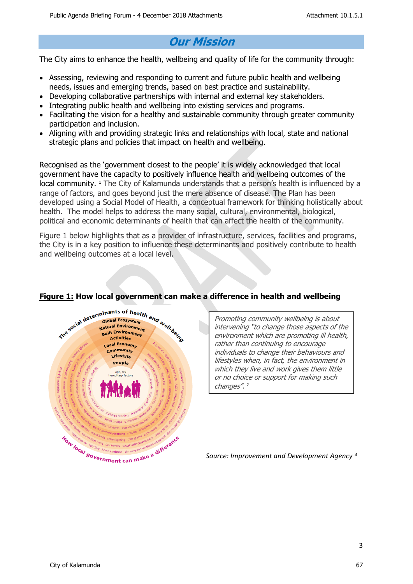## *Our Mission*

The City aims to enhance the health, wellbeing and quality of life for the community through:

- Assessing, reviewing and responding to current and future public health and wellbeing needs, issues and emerging trends, based on best practice and sustainability.
- Developing collaborative partnerships with internal and external key stakeholders.
- Integrating public health and wellbeing into existing services and programs.
- Facilitating the vision for a healthy and sustainable community through greater community participation and inclusion.
- Aligning with and providing strategic links and relationships with local, state and national strategic plans and policies that impact on health and wellbeing.

Recognised as the 'government closest to the people' it is widely acknowledged that local government have the capacity to positively influence health and wellbeing outcomes of the local community. <sup>1</sup> The City of Kalamunda understands that a person's health is influenced by a range of factors, and goes beyond just the mere absence of disease. The Plan has been developed using a Social Model of Health, a conceptual framework for thinking holistically about health. The model helps to address the many social, cultural, environmental, biological, political and economic determinants of health that can affect the health of the community.

Figure 1 below highlights that as a provider of infrastructure, services, facilities and programs, the City is in a key position to influence these determinants and positively contribute to health and wellbeing outcomes at a local level.



#### **Figure 1: How local government can make a difference in health and wellbeing**

*Promoting community wellbeing is about intervening "to change those aspects of the environment which are promoting ill health, rather than continuing to encourage individuals to change their behaviours and lifestyles when, in fact, the environment in which they live and work gives them little or no choice or support for making such changes".*  2

*Source: Improvement and Development Agency* <sup>3</sup>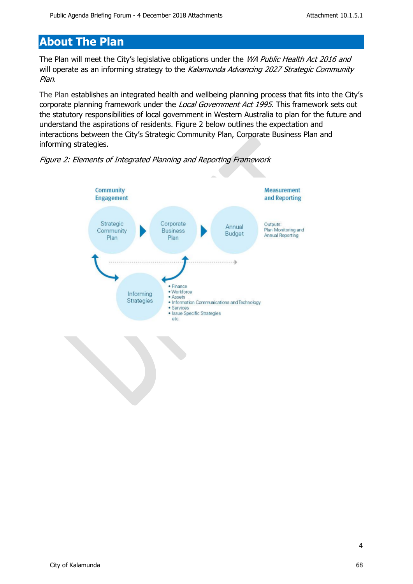## **About The Plan**

The Plan will meet the City's legislative obligations under the *WA Public Health Act 2016 and*  will operate as an informing strategy to the *Kalamunda Advancing 2027 Strategic Community Plan*.

The Plan establishes an integrated health and wellbeing planning process that fits into the City's corporate planning framework under the *Local Government Act 1995.* This framework sets out the statutory responsibilities of local government in Western Australia to plan for the future and understand the aspirations of residents. Figure 2 below outlines the expectation and interactions between the City's Strategic Community Plan, Corporate Business Plan and informing strategies.



*Figure 2: Elements of Integrated Planning and Reporting Framework*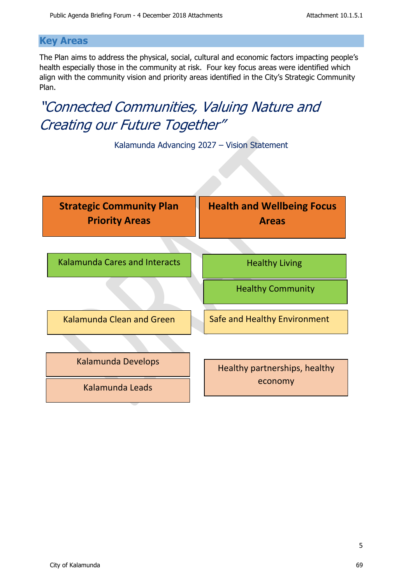#### **Key Areas**

The Plan aims to address the physical, social, cultural and economic factors impacting people's health especially those in the community at risk. Four key focus areas were identified which align with the community vision and priority areas identified in the City's Strategic Community Plan.

# *"Connected Communities, Valuing Nature and Creating our Future Together"*



Kalamunda Advancing 2027 – Vision Statement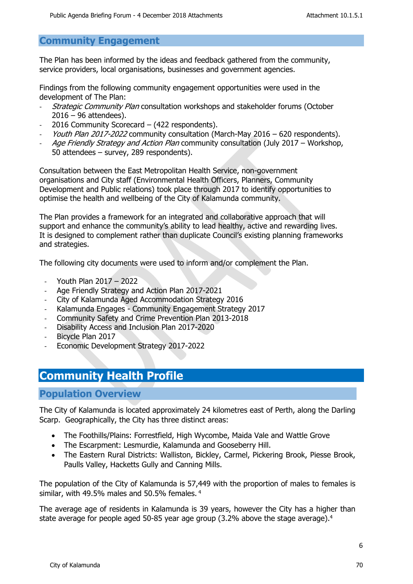#### **Community Engagement**

The Plan has been informed by the ideas and feedback gathered from the community, service providers, local organisations, businesses and government agencies.

Findings from the following community engagement opportunities were used in the development of The Plan:

- *Strategic Community Plan* consultation workshops and stakeholder forums (October 2016 – 96 attendees).
- 2016 Community Scorecard (422 respondents).
- *Youth Plan 2017-2022* community consultation (March-May 2016 620 respondents).
- *Age Friendly Strategy and Action Plan* community consultation (July 2017 Workshop, 50 attendees – survey, 289 respondents).

Consultation between the East Metropolitan Health Service, non-government organisations and City staff (Environmental Health Officers, Planners, Community Development and Public relations) took place through 2017 to identify opportunities to optimise the health and wellbeing of the City of Kalamunda community.

The Plan provides a framework for an integrated and collaborative approach that will support and enhance the community's ability to lead healthy, active and rewarding lives. It is designed to complement rather than duplicate Council's existing planning frameworks and strategies.

The following city documents were used to inform and/or complement the Plan.

- Youth Plan 2017 2022
- Age Friendly Strategy and Action Plan 2017-2021
- City of Kalamunda Aged Accommodation Strategy 2016
- Kalamunda Engages Community Engagement Strategy 2017
- Community Safety and Crime Prevention Plan 2013-2018
- Disability Access and Inclusion Plan 2017-2020
- Bicycle Plan 2017
- Economic Development Strategy 2017-2022

## **Community Health Profile**

#### **Population Overview**

The City of Kalamunda is located approximately 24 kilometres east of Perth, along the Darling Scarp. Geographically, the City has three distinct areas:

- The Foothills/Plains: Forrestfield, High Wycombe, Maida Vale and Wattle Grove
- The Escarpment: Lesmurdie, Kalamunda and Gooseberry Hill.
- The Eastern Rural Districts: Walliston, Bickley, Carmel, Pickering Brook, Piesse Brook, Paulls Valley, Hacketts Gully and Canning Mills.

The population of the City of Kalamunda is 57,449 with the proportion of males to females is similar, with 49.5% males and 50.5% females.<sup>4</sup>

The average age of residents in Kalamunda is 39 years, however the City has a higher than state average for people aged 50-85 year age group (3.2% above the stage average).<sup>4</sup>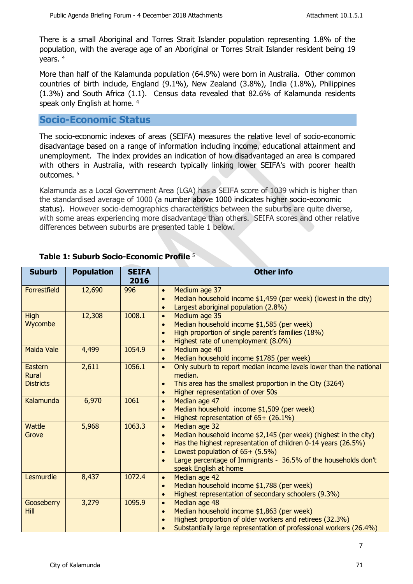There is a small Aboriginal and Torres Strait Islander population representing 1.8% of the population, with the average age of an Aboriginal or Torres Strait Islander resident being 19 years. <sup>4</sup>

More than half of the Kalamunda population (64.9%) were born in Australia. Other common countries of birth include, England (9.1%), New Zealand (3.8%), India (1.8%), Philippines (1.3%) and South Africa (1.1). Census data revealed that 82.6% of Kalamunda residents speak only English at home. <sup>4</sup>

#### **Socio-Economic Status**

The socio-economic indexes of areas (SEIFA) measures the relative level of socio-economic disadvantage based on a range of information including income, educational attainment and unemployment. The index provides an indication of how disadvantaged an area is compared with others in Australia, with research typically linking lower SEIFA's with poorer health outcomes. <sup>5</sup>

Kalamunda as a Local Government Area (LGA) has a SEIFA score of 1039 which is higher than the standardised average of 1000 (a number above 1000 indicates higher socio-economic status). However socio-demographics characteristics between the suburbs are quite diverse, with some areas experiencing more disadvantage than others. SEIFA scores and other relative differences between suburbs are presented table 1 below.

| <b>Suburb</b>                               | <b>Population</b> | <b>SEIFA</b><br>2016 | <b>Other info</b>                                                                                                                                                                                                                                                                                                                    |
|---------------------------------------------|-------------------|----------------------|--------------------------------------------------------------------------------------------------------------------------------------------------------------------------------------------------------------------------------------------------------------------------------------------------------------------------------------|
| Forrestfield                                | 12,690            | 996                  | Medium age 37<br>$\bullet$<br>Median household income \$1,459 (per week) (lowest in the city)<br>$\bullet$<br>Largest aboriginal population (2.8%)<br>$\bullet$                                                                                                                                                                      |
| <b>High</b><br>Wycombe                      | 12,308            | 1008.1               | Medium age 35<br>$\bullet$<br>Median household income \$1,585 (per week)<br>$\bullet$<br>High proportion of single parent's families (18%)<br>Highest rate of unemployment (8.0%)<br>$\bullet$                                                                                                                                       |
| <b>Maida Vale</b>                           | 4,499             | 1054.9               | Medium age 40<br>$\bullet$<br>Median household income \$1785 (per week)<br>$\bullet$                                                                                                                                                                                                                                                 |
| Eastern<br><b>Rural</b><br><b>Districts</b> | 2,611             | 1056.1               | Only suburb to report median income levels lower than the national<br>$\bullet$<br>median.<br>This area has the smallest proportion in the City (3264)<br>$\bullet$<br>Higher representation of over 50s<br>$\bullet$                                                                                                                |
| Kalamunda                                   | 6,970             | 1061                 | Median age 47<br>$\bullet$<br>Median household income \$1,509 (per week)<br>$\bullet$<br>Highest representation of 65+ (26.1%)<br>$\bullet$                                                                                                                                                                                          |
| <b>Wattle</b><br>Grove                      | 5,968             | 1063.3               | Median age 32<br>$\bullet$<br>Median household income \$2,145 (per week) (highest in the city)<br>$\bullet$<br>Has the highest representation of children 0-14 years (26.5%)<br>Lowest population of 65+ (5.5%)<br>$\bullet$<br>Large percentage of Immigrants - 36.5% of the households don't<br>$\bullet$<br>speak English at home |
| Lesmurdie                                   | 8,437             | 1072.4               | Median age 42<br>$\bullet$<br>Median household income \$1,788 (per week)<br>$\bullet$<br>Highest representation of secondary schoolers (9.3%)<br>$\bullet$                                                                                                                                                                           |
| Gooseberry<br><b>Hill</b>                   | 3,279             | 1095.9               | Median age 48<br>$\bullet$<br>Median household income \$1,863 (per week)<br>$\bullet$<br>Highest proportion of older workers and retirees (32.3%)<br>Substantially large representation of professional workers (26.4%)<br>$\bullet$                                                                                                 |

#### **Table 1: Suburb Socio-Economic Profile** <sup>5</sup>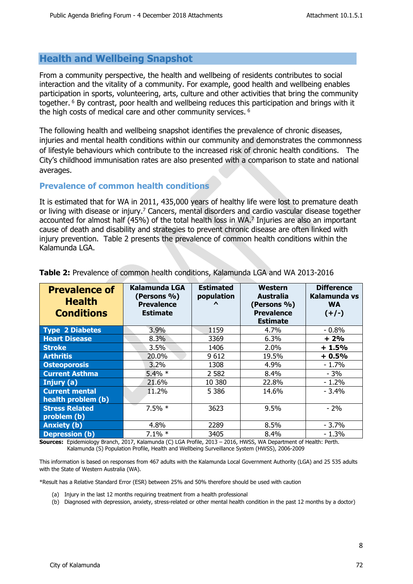#### **Health and Wellbeing Snapshot**

From a community perspective, the health and wellbeing of residents contributes to social interaction and the vitality of a community. For example, good health and wellbeing enables participation in sports, volunteering, arts, culture and other activities that bring the community together.<sup>6</sup> By contrast, poor health and wellbeing reduces this participation and brings with it the high costs of medical care and other community services.<sup>6</sup>

The following health and wellbeing snapshot identifies the prevalence of chronic diseases, injuries and mental health conditions within our community and demonstrates the commonness of lifestyle behaviours which contribute to the increased risk of chronic health conditions. The City's childhood immunisation rates are also presented with a comparison to state and national averages.

#### **Prevalence of common health conditions**

It is estimated that for WA in 2011, 435,000 years of healthy life were lost to premature death or living with disease or injury.<sup>7</sup> Cancers, mental disorders and cardio vascular disease together accounted for almost half (45%) of the total health loss in WA.<sup>7</sup> Injuries are also an important cause of death and disability and strategies to prevent chronic disease are often linked with injury prevention. Table 2 presents the prevalence of common health conditions within the Kalamunda LGA.

| <b>Prevalence of</b><br><b>Health</b><br><b>Conditions</b> | <b>Kalamunda LGA</b><br>(Persons %)<br><b>Prevalence</b><br><b>Estimate</b> | <b>Estimated</b><br>population<br>$\lambda$ | Western<br>Australia<br>(Persons %)<br><b>Prevalence</b><br><b>Estimate</b> | <b>Difference</b><br>Kalamunda vs<br><b>WA</b><br>$(+/-)$ |
|------------------------------------------------------------|-----------------------------------------------------------------------------|---------------------------------------------|-----------------------------------------------------------------------------|-----------------------------------------------------------|
| <b>Type 2 Diabetes</b>                                     | 3.9%                                                                        | 1159                                        | 4.7%                                                                        | $-0.8\%$                                                  |
| <b>Heart Disease</b>                                       | 8.3%                                                                        | 3369                                        | 6.3%                                                                        | $+2%$                                                     |
| <b>Stroke</b>                                              | 3.5%                                                                        | 1406                                        | 2.0%                                                                        | $+1.5%$                                                   |
| <b>Arthritis</b>                                           | 20.0%                                                                       | 9612                                        | 19.5%                                                                       | $+0.5%$                                                   |
| <b>Osteoporosis</b>                                        | 3.2%                                                                        | 1308                                        | 4.9%                                                                        | $-1.7%$                                                   |
| <b>Current Asthma</b>                                      | $5.4\% *$                                                                   | 2 5 8 2                                     | 8.4%                                                                        | $-3%$                                                     |
| Injury (a)                                                 | 21.6%                                                                       | 10 380                                      | 22.8%                                                                       | $-1.2\%$                                                  |
| <b>Current mental</b>                                      | 11.2%                                                                       | 5 3 8 6                                     | 14.6%                                                                       | $-3.4%$                                                   |
| health problem (b)                                         |                                                                             |                                             |                                                                             |                                                           |
| <b>Stress Related</b><br>problem (b)                       | $7.5\% *$                                                                   | 3623                                        | 9.5%                                                                        | $-2%$                                                     |
| <b>Anxiety (b)</b>                                         | 4.8%                                                                        | 2289                                        | 8.5%                                                                        | $-3.7%$                                                   |
| <b>Depression (b)</b>                                      | $7.1\% *$                                                                   | 3405                                        | 8.4%                                                                        | $-1.3%$                                                   |

#### **Table 2:** Prevalence of common health conditions, Kalamunda LGA and WA 2013-2016

**Sources:** Epidemiology Branch, 2017, Kalamunda (C) LGA Profile, 2013 – 2016, HWSS, WA Department of Health: Perth. Kalamunda (S) Population Profile, Health and Wellbeing Surveillance System (HWSS), 2006-2009

This information is based on responses from 467 adults with the Kalamunda Local Government Authority (LGA) and 25 535 adults with the State of Western Australia (WA).

\*Result has a Relative Standard Error (ESR) between 25% and 50% therefore should be used with caution

(a) Injury in the last 12 months requiring treatment from a health professional

(b) Diagnosed with depression, anxiety, stress-related or other mental health condition in the past 12 months by a doctor)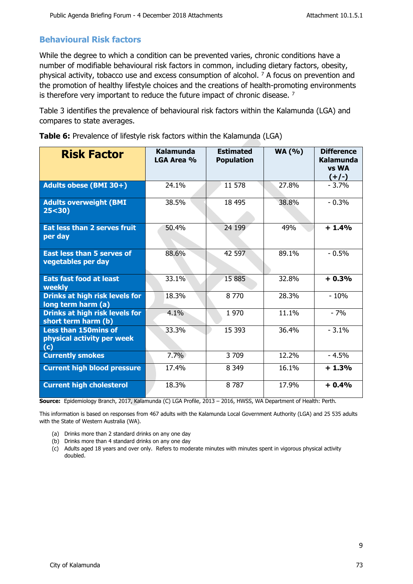#### **Behavioural Risk factors**

While the degree to which a condition can be prevented varies, chronic conditions have a number of modifiable behavioural risk factors in common, including dietary factors, obesity, physical activity, tobacco use and excess consumption of alcohol. <sup>7</sup> A focus on prevention and the promotion of healthy lifestyle choices and the creations of health-promoting environments is therefore very important to reduce the future impact of chronic disease.  $7$ 

Table 3 identifies the prevalence of behavioural risk factors within the Kalamunda (LGA) and compares to state averages.

| <b>Risk Factor</b>                                               | Kalamunda<br>LGA Area % | <b>Estimated</b><br><b>Population</b> | <b>WA (%)</b> | <b>Difference</b><br>Kalamunda<br><b>vs WA</b><br>$(+/-)$ |
|------------------------------------------------------------------|-------------------------|---------------------------------------|---------------|-----------------------------------------------------------|
| Adults obese (BMI 30+)                                           | 24.1%                   | 11 578                                | 27.8%         | $-3.7%$                                                   |
| <b>Adults overweight (BMI</b><br>25 < 30                         | 38.5%                   | 18 495                                | 38.8%         | $-0.3%$                                                   |
| <b>Eat less than 2 serves fruit</b><br>per day                   | 50.4%                   | 24 199                                | 49%           | $+1.4%$                                                   |
| <b>East less than 5 serves of</b><br>vegetables per day          | 88.6%                   | 42 597                                | 89.1%         | $-0.5%$                                                   |
| <b>Eats fast food at least</b><br>weekly                         | 33.1%                   | 15 885                                | 32.8%         | $+0.3%$                                                   |
| <b>Drinks at high risk levels for</b><br>long term harm (a)      | 18.3%                   | 8 7 7 0                               | 28.3%         | $-10%$                                                    |
| <b>Drinks at high risk levels for</b><br>short term harm (b)     | 4.1%                    | 1970                                  | 11.1%         | $-7%$                                                     |
| <b>Less than 150mins of</b><br>physical activity per week<br>(c) | 33.3%                   | 15 3 93                               | 36.4%         | $-3.1%$                                                   |
| <b>Currently smokes</b>                                          | 7.7%                    | 3 709                                 | 12.2%         | $-4.5%$                                                   |
| <b>Current high blood pressure</b>                               | 17.4%                   | 8 3 4 9                               | 16.1%         | $+1.3%$                                                   |
| <b>Current high cholesterol</b>                                  | 18.3%                   | 8787                                  | 17.9%         | $+0.4%$                                                   |

**Table 6:** Prevalence of lifestyle risk factors within the Kalamunda (LGA)

**Source:** Epidemiology Branch, 2017, Kalamunda (C) LGA Profile, 2013 – 2016, HWSS, WA Department of Health: Perth.

This information is based on responses from 467 adults with the Kalamunda Local Government Authority (LGA) and 25 535 adults with the State of Western Australia (WA).

- (a) Drinks more than 2 standard drinks on any one day
- (b) Drinks more than 4 standard drinks on any one day
- (c) Adults aged 18 years and over only. Refers to moderate minutes with minutes spent in vigorous physical activity doubled.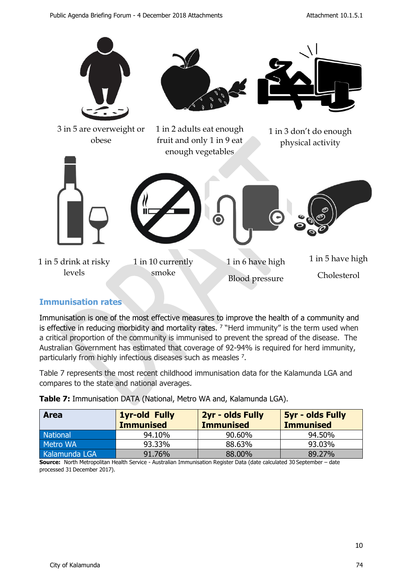

#### **Immunisation rates**

Immunisation is one of the most effective measures to improve the health of a community and is effective in reducing morbidity and mortality rates.  $7$  "Herd immunity" is the term used when a critical proportion of the community is immunised to prevent the spread of the disease. The Australian Government has estimated that coverage of 92-94% is required for herd immunity, particularly from highly infectious diseases such as measles <sup>7</sup> .

Table 7 represents the most recent childhood immunisation data for the Kalamunda LGA and compares to the state and national averages.

| <b>Area</b>   | <b>1yr-old Fully</b><br><b>Immunised</b> | 2yr - olds Fully<br><b>Immunised</b> | <b>5yr - olds Fully</b><br><b>Immunised</b> |
|---------------|------------------------------------------|--------------------------------------|---------------------------------------------|
| National      | 94.10%                                   | 90.60%                               | 94.50%                                      |
| Metro WA      | 93.33%                                   | 88.63%                               | 93.03%                                      |
| Kalamunda LGA | 91.76%                                   | 88.00%                               | 89.27%                                      |

**Table 7:** Immunisation DATA (National, Metro WA and, Kalamunda LGA).

**Source:** North Metropolitan Health Service - Australian Immunisation Register Data (date calculated 30 September – date processed 31 December 2017).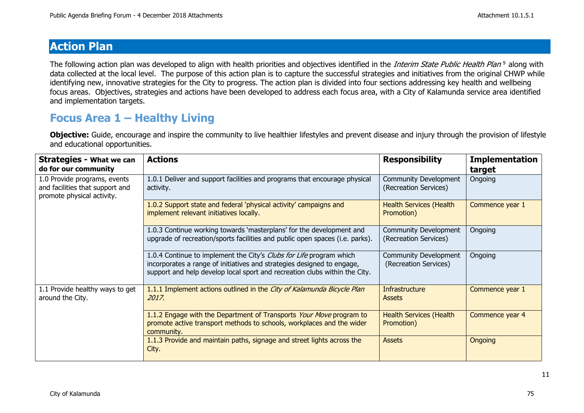## **Action Plan**

The following action plan was developed to align with health priorities and objectives identified in the *Interim State Public Health Plan* <sup>9</sup>along with data collected at the local level. The purpose of this action plan is to capture the successful strategies and initiatives from the original CHWP while identifying new, innovative strategies for the City to progress. The action plan is divided into four sections addressing key health and wellbeing focus areas. Objectives, strategies and actions have been developed to address each focus area, with a City of Kalamunda service area identified and implementation targets.

## **Focus Area 1 – Healthy Living**

**Objective:** Guide, encourage and inspire the community to live healthier lifestyles and prevent disease and injury through the provision of lifestyle and educational opportunities.

| <b>Strategies - What we can</b><br>do for our community                                       | <b>Actions</b>                                                                                                                                                                                                              | <b>Responsibility</b>                          | <b>Implementation</b><br>target |
|-----------------------------------------------------------------------------------------------|-----------------------------------------------------------------------------------------------------------------------------------------------------------------------------------------------------------------------------|------------------------------------------------|---------------------------------|
| 1.0 Provide programs, events<br>and facilities that support and<br>promote physical activity. | 1.0.1 Deliver and support facilities and programs that encourage physical<br>activity.                                                                                                                                      | Community Development<br>(Recreation Services) | Ongoing                         |
|                                                                                               | 1.0.2 Support state and federal 'physical activity' campaigns and<br>implement relevant initiatives locally.                                                                                                                | <b>Health Services (Health</b><br>Promotion)   | Commence year 1                 |
|                                                                                               | 1.0.3 Continue working towards 'masterplans' for the development and<br>upgrade of recreation/sports facilities and public open spaces (i.e. parks).                                                                        | Community Development<br>(Recreation Services) | Ongoing                         |
|                                                                                               | 1.0.4 Continue to implement the City's Clubs for Life program which<br>incorporates a range of initiatives and strategies designed to engage,<br>support and help develop local sport and recreation clubs within the City. | Community Development<br>(Recreation Services) | Ongoing                         |
| 1.1 Provide healthy ways to get<br>around the City.                                           | 1.1.1 Implement actions outlined in the City of Kalamunda Bicycle Plan<br>2017.                                                                                                                                             | <b>Infrastructure</b><br>Assets                | Commence year 1                 |
|                                                                                               | 1.1.2 Engage with the Department of Transports Your Move program to<br>promote active transport methods to schools, workplaces and the wider<br>community.                                                                  | <b>Health Services (Health</b><br>Promotion)   | Commence year 4                 |
|                                                                                               | 1.1.3 Provide and maintain paths, signage and street lights across the<br>City.                                                                                                                                             | <b>Assets</b>                                  | Ongoing                         |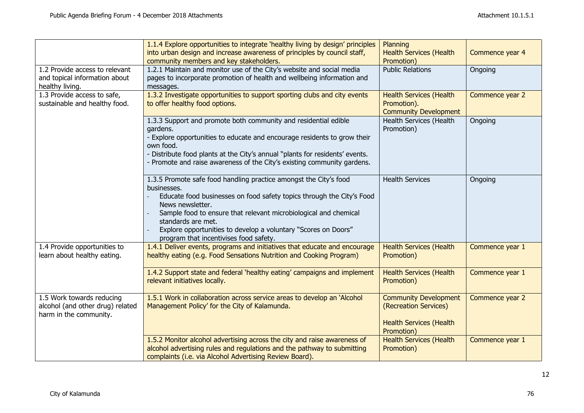|                                                                                         | 1.1.4 Explore opportunities to integrate 'healthy living by design' principles<br>into urban design and increase awareness of principles by council staff,<br>community members and key stakeholders.                                                                                                                                                                               | Planning<br><b>Health Services (Health</b><br>Promotion)                                              | Commence year 4 |
|-----------------------------------------------------------------------------------------|-------------------------------------------------------------------------------------------------------------------------------------------------------------------------------------------------------------------------------------------------------------------------------------------------------------------------------------------------------------------------------------|-------------------------------------------------------------------------------------------------------|-----------------|
| 1.2 Provide access to relevant<br>and topical information about<br>healthy living.      | 1.2.1 Maintain and monitor use of the City's website and social media<br>pages to incorporate promotion of health and wellbeing information and<br>messages.                                                                                                                                                                                                                        | <b>Public Relations</b>                                                                               | Ongoing         |
| 1.3 Provide access to safe,<br>sustainable and healthy food.                            | 1.3.2 Investigate opportunities to support sporting clubs and city events<br>to offer healthy food options.                                                                                                                                                                                                                                                                         | <b>Health Services (Health</b><br>Promotion).<br><b>Community Development</b>                         | Commence year 2 |
|                                                                                         | 1.3.3 Support and promote both community and residential edible<br>gardens.<br>- Explore opportunities to educate and encourage residents to grow their<br>own food.<br>- Distribute food plants at the City's annual "plants for residents' events.<br>- Promote and raise awareness of the City's existing community gardens.                                                     | Health Services (Health<br>Promotion)                                                                 | Ongoing         |
|                                                                                         | 1.3.5 Promote safe food handling practice amongst the City's food<br>businesses.<br>Educate food businesses on food safety topics through the City's Food<br>News newsletter.<br>Sample food to ensure that relevant microbiological and chemical<br>standards are met.<br>Explore opportunities to develop a voluntary "Scores on Doors"<br>program that incentivises food safety. | <b>Health Services</b>                                                                                | Ongoing         |
| 1.4 Provide opportunities to<br>learn about healthy eating.                             | 1.4.1 Deliver events, programs and initiatives that educate and encourage<br>healthy eating (e.g. Food Sensations Nutrition and Cooking Program)                                                                                                                                                                                                                                    | <b>Health Services (Health</b><br>Promotion)                                                          | Commence year 1 |
|                                                                                         | 1.4.2 Support state and federal 'healthy eating' campaigns and implement<br>relevant initiatives locally.                                                                                                                                                                                                                                                                           | <b>Health Services (Health</b><br>Promotion)                                                          | Commence year 1 |
| 1.5 Work towards reducing<br>alcohol (and other drug) related<br>harm in the community. | 1.5.1 Work in collaboration across service areas to develop an 'Alcohol<br>Management Policy' for the City of Kalamunda.                                                                                                                                                                                                                                                            | <b>Community Development</b><br>(Recreation Services)<br><b>Health Services (Health</b><br>Promotion) | Commence year 2 |
|                                                                                         | 1.5.2 Monitor alcohol advertising across the city and raise awareness of<br>alcohol advertising rules and regulations and the pathway to submitting<br>complaints (i.e. via Alcohol Advertising Review Board).                                                                                                                                                                      | <b>Health Services (Health</b><br>Promotion)                                                          | Commence year 1 |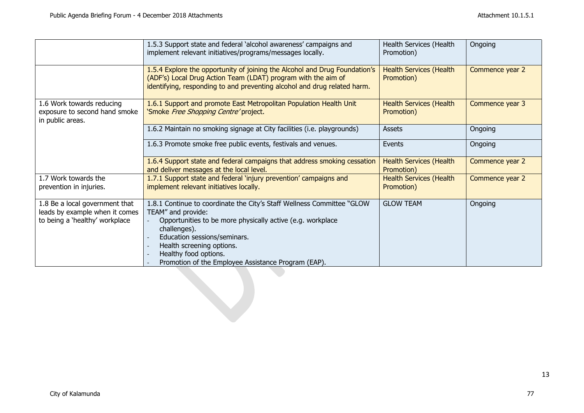|                                                                                | 1.5.3 Support state and federal 'alcohol awareness' campaigns and<br>implement relevant initiatives/programs/messages locally.                                                                                          | Health Services (Health<br>Promotion)        | Ongoing         |
|--------------------------------------------------------------------------------|-------------------------------------------------------------------------------------------------------------------------------------------------------------------------------------------------------------------------|----------------------------------------------|-----------------|
|                                                                                | 1.5.4 Explore the opportunity of joining the Alcohol and Drug Foundation's<br>(ADF's) Local Drug Action Team (LDAT) program with the aim of<br>identifying, responding to and preventing alcohol and drug related harm. | <b>Health Services (Health</b><br>Promotion) | Commence year 2 |
| 1.6 Work towards reducing<br>exposure to second hand smoke<br>in public areas. | 1.6.1 Support and promote East Metropolitan Population Health Unit<br>'Smoke Free Shopping Centre' project.                                                                                                             | <b>Health Services (Health</b><br>Promotion) | Commence year 3 |
|                                                                                | 1.6.2 Maintain no smoking signage at City facilities (i.e. playgrounds)                                                                                                                                                 | Assets                                       | Ongoing         |
|                                                                                | 1.6.3 Promote smoke free public events, festivals and venues.                                                                                                                                                           | Events                                       | Ongoing         |
|                                                                                | 1.6.4 Support state and federal campaigns that address smoking cessation<br>and deliver messages at the local level.                                                                                                    | <b>Health Services (Health</b><br>Promotion) | Commence year 2 |
| 1.7 Work towards the                                                           | 1.7.1 Support state and federal 'injury prevention' campaigns and                                                                                                                                                       | <b>Health Services (Health</b>               | Commence year 2 |
| prevention in injuries.                                                        | implement relevant initiatives locally.                                                                                                                                                                                 | Promotion)                                   |                 |
| 1.8 Be a local government that                                                 | 1.8.1 Continue to coordinate the City's Staff Wellness Committee "GLOW                                                                                                                                                  | <b>GLOW TEAM</b>                             | Ongoing         |
| leads by example when it comes                                                 | TEAM" and provide:                                                                                                                                                                                                      |                                              |                 |
| to being a 'healthy' workplace                                                 | Opportunities to be more physically active (e.g. workplace<br>challenges).                                                                                                                                              |                                              |                 |
|                                                                                | Education sessions/seminars.                                                                                                                                                                                            |                                              |                 |
|                                                                                | Health screening options.                                                                                                                                                                                               |                                              |                 |
|                                                                                | Healthy food options.                                                                                                                                                                                                   |                                              |                 |
|                                                                                | Promotion of the Employee Assistance Program (EAP).                                                                                                                                                                     |                                              |                 |
|                                                                                |                                                                                                                                                                                                                         |                                              |                 |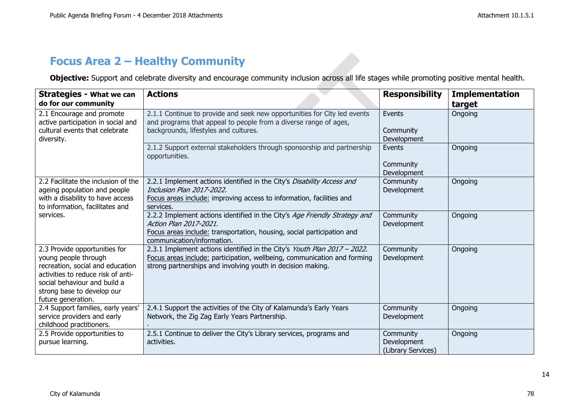## **Focus Area 2 – Healthy Community**

**Objective:** Support and celebrate diversity and encourage community inclusion across all life stages while promoting positive mental health.

| <b>Strategies - What we can</b><br>do for our community                                                                                                                                                             | <b>Actions</b>                                                                                                                                                                                                      | <b>Responsibility</b>                          | <b>Implementation</b><br>target |
|---------------------------------------------------------------------------------------------------------------------------------------------------------------------------------------------------------------------|---------------------------------------------------------------------------------------------------------------------------------------------------------------------------------------------------------------------|------------------------------------------------|---------------------------------|
| 2.1 Encourage and promote<br>active participation in social and<br>cultural events that celebrate<br>diversity.                                                                                                     | 2.1.1 Continue to provide and seek new opportunities for City led events<br>and programs that appeal to people from a diverse range of ages,<br>backgrounds, lifestyles and cultures.                               | Events<br>Community<br>Development             | Ongoing                         |
|                                                                                                                                                                                                                     | 2.1.2 Support external stakeholders through sponsorship and partnership<br>opportunities.                                                                                                                           | Events<br>Community<br>Development             | Ongoing                         |
| 2.2 Facilitate the inclusion of the<br>ageing population and people<br>with a disability to have access<br>to information, facilitates and                                                                          | 2.2.1 Implement actions identified in the City's Disability Access and<br>Inclusion Plan 2017-2022.<br>Focus areas include: improving access to information, facilities and<br>services.                            | Community<br>Development                       | Ongoing                         |
| services.                                                                                                                                                                                                           | 2.2.2 Implement actions identified in the City's Age Friendly Strategy and<br>Action Plan 2017-2021.<br>Focus areas include: transportation, housing, social participation and<br>communication/information.        | Community<br>Development                       | Ongoing                         |
| 2.3 Provide opportunities for<br>young people through<br>recreation, social and education<br>activities to reduce risk of anti-<br>social behaviour and build a<br>strong base to develop our<br>future generation. | 2.3.1 Implement actions identified in the City's Youth Plan 2017 - 2022.<br>Focus areas include: participation, wellbeing, communication and forming<br>strong partnerships and involving youth in decision making. | Community<br>Development                       | Ongoing                         |
| 2.4 Support families, early years'<br>service providers and early<br>childhood practitioners.                                                                                                                       | 2.4.1 Support the activities of the City of Kalamunda's Early Years<br>Network, the Zig Zag Early Years Partnership.                                                                                                | Community<br>Development                       | Ongoing                         |
| 2.5 Provide opportunities to<br>pursue learning.                                                                                                                                                                    | 2.5.1 Continue to deliver the City's Library services, programs and<br>activities.                                                                                                                                  | Community<br>Development<br>(Library Services) | Ongoing                         |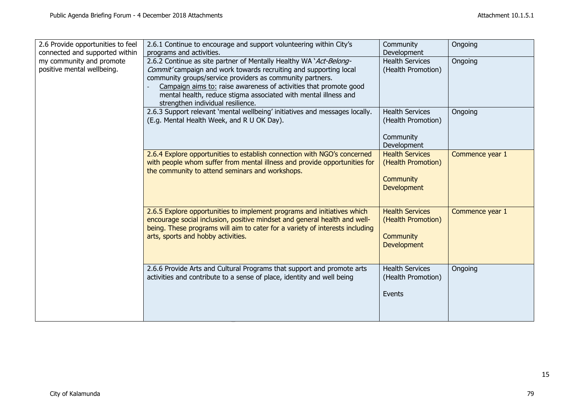| 2.6 Provide opportunities to feel<br>connected and supported within | 2.6.1 Continue to encourage and support volunteering within City's                                                                                                                                   | Community                                    | Ongoing         |
|---------------------------------------------------------------------|------------------------------------------------------------------------------------------------------------------------------------------------------------------------------------------------------|----------------------------------------------|-----------------|
| my community and promote                                            | programs and activities.                                                                                                                                                                             | Development<br><b>Health Services</b>        |                 |
| positive mental wellbeing.                                          | 2.6.2 Continue as site partner of Mentally Healthy WA 'Act-Belong-<br>Commit' campaign and work towards recruiting and supporting local<br>community groups/service providers as community partners. | (Health Promotion)                           | Ongoing         |
|                                                                     | Campaign aims to: raise awareness of activities that promote good                                                                                                                                    |                                              |                 |
|                                                                     | mental health, reduce stigma associated with mental illness and<br>strengthen individual resilience.                                                                                                 |                                              |                 |
|                                                                     | 2.6.3 Support relevant 'mental wellbeing' initiatives and messages locally.                                                                                                                          | <b>Health Services</b>                       | Ongoing         |
|                                                                     | (E.g. Mental Health Week, and R U OK Day).                                                                                                                                                           | (Health Promotion)                           |                 |
|                                                                     |                                                                                                                                                                                                      | Community                                    |                 |
|                                                                     |                                                                                                                                                                                                      | Development                                  |                 |
|                                                                     | 2.6.4 Explore opportunities to establish connection with NGO's concerned                                                                                                                             | <b>Health Services</b>                       | Commence year 1 |
|                                                                     | with people whom suffer from mental illness and provide opportunities for<br>the community to attend seminars and workshops.                                                                         | (Health Promotion)                           |                 |
|                                                                     |                                                                                                                                                                                                      | <b>Community</b>                             |                 |
|                                                                     |                                                                                                                                                                                                      | Development                                  |                 |
|                                                                     |                                                                                                                                                                                                      |                                              |                 |
|                                                                     | 2.6.5 Explore opportunities to implement programs and initiatives which<br>encourage social inclusion, positive mindset and general health and well-                                                 | <b>Health Services</b><br>(Health Promotion) | Commence year 1 |
|                                                                     | being. These programs will aim to cater for a variety of interests including                                                                                                                         |                                              |                 |
|                                                                     | arts, sports and hobby activities.                                                                                                                                                                   | <b>Community</b>                             |                 |
|                                                                     |                                                                                                                                                                                                      | Development                                  |                 |
|                                                                     |                                                                                                                                                                                                      |                                              |                 |
|                                                                     | 2.6.6 Provide Arts and Cultural Programs that support and promote arts                                                                                                                               | <b>Health Services</b>                       | Ongoing         |
|                                                                     | activities and contribute to a sense of place, identity and well being                                                                                                                               | (Health Promotion)                           |                 |
|                                                                     |                                                                                                                                                                                                      | Events                                       |                 |
|                                                                     |                                                                                                                                                                                                      |                                              |                 |
|                                                                     |                                                                                                                                                                                                      |                                              |                 |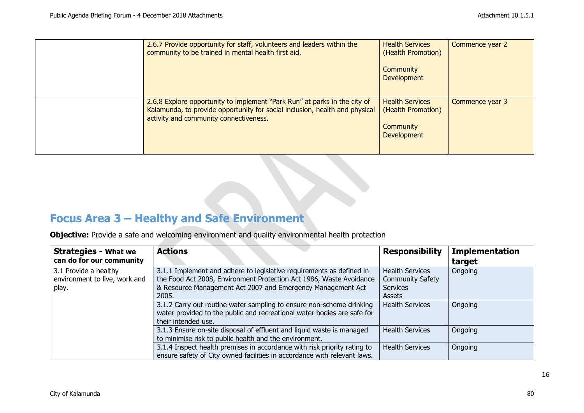| 2.6.7 Provide opportunity for staff, volunteers and leaders within the<br>community to be trained in mental health first aid.                                                                      | <b>Health Services</b><br>(Health Promotion)<br>Community<br><b>Development</b> | Commence year 2 |
|----------------------------------------------------------------------------------------------------------------------------------------------------------------------------------------------------|---------------------------------------------------------------------------------|-----------------|
| 2.6.8 Explore opportunity to implement "Park Run" at parks in the city of<br>Kalamunda, to provide opportunity for social inclusion, health and physical<br>activity and community connectiveness. | <b>Health Services</b><br>(Health Promotion)<br>Community<br>Development        | Commence year 3 |

## **Focus Area 3 – Healthy and Safe Environment**

**Objective:** Provide a safe and welcoming environment and quality environmental health protection

| <b>Strategies - What we</b>   | <b>Actions</b>                                                           | <b>Responsibility</b>   | <b>Implementation</b> |
|-------------------------------|--------------------------------------------------------------------------|-------------------------|-----------------------|
| can do for our community      |                                                                          |                         | target                |
| 3.1 Provide a healthy         | 3.1.1 Implement and adhere to legislative requirements as defined in     | <b>Health Services</b>  | Ongoing               |
| environment to live, work and | the Food Act 2008, Environment Protection Act 1986, Waste Avoidance      | <b>Community Safety</b> |                       |
| play.                         | & Resource Management Act 2007 and Emergency Management Act              | <b>Services</b>         |                       |
|                               | 2005.                                                                    | Assets                  |                       |
|                               | 3.1.2 Carry out routine water sampling to ensure non-scheme drinking     | <b>Health Services</b>  | Ongoing               |
|                               | water provided to the public and recreational water bodies are safe for  |                         |                       |
|                               | their intended use.                                                      |                         |                       |
|                               | 3.1.3 Ensure on-site disposal of effluent and liquid waste is managed    | <b>Health Services</b>  | Ongoing               |
|                               | to minimise risk to public health and the environment.                   |                         |                       |
|                               | 3.1.4 Inspect health premises in accordance with risk priority rating to | <b>Health Services</b>  | Ongoing               |
|                               | ensure safety of City owned facilities in accordance with relevant laws. |                         |                       |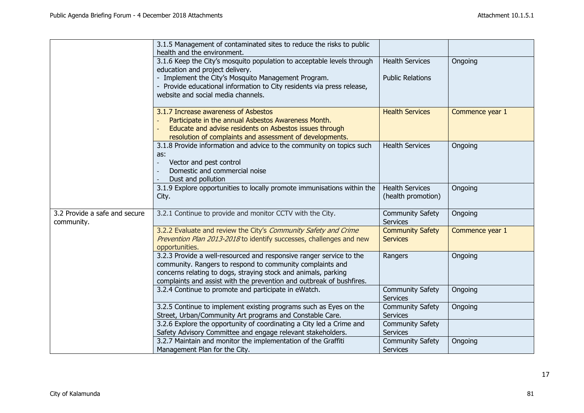|                                             | 3.1.5 Management of contaminated sites to reduce the risks to public<br>health and the environment.                                                                                                                                                                        |                                              |                 |
|---------------------------------------------|----------------------------------------------------------------------------------------------------------------------------------------------------------------------------------------------------------------------------------------------------------------------------|----------------------------------------------|-----------------|
|                                             | 3.1.6 Keep the City's mosquito population to acceptable levels through<br>education and project delivery.                                                                                                                                                                  | <b>Health Services</b>                       | Ongoing         |
|                                             | - Implement the City's Mosquito Management Program.<br>- Provide educational information to City residents via press release,<br>website and social media channels.                                                                                                        | <b>Public Relations</b>                      |                 |
|                                             | 3.1.7 Increase awareness of Asbestos<br>Participate in the annual Asbestos Awareness Month.<br>Educate and advise residents on Asbestos issues through<br>resolution of complaints and assessment of developments.                                                         | <b>Health Services</b>                       | Commence year 1 |
|                                             | 3.1.8 Provide information and advice to the community on topics such<br>as:<br>Vector and pest control<br>Domestic and commercial noise<br>Dust and pollution                                                                                                              | <b>Health Services</b>                       | Ongoing         |
|                                             | 3.1.9 Explore opportunities to locally promote immunisations within the<br>City.                                                                                                                                                                                           | <b>Health Services</b><br>(health promotion) | Ongoing         |
| 3.2 Provide a safe and secure<br>community. | 3.2.1 Continue to provide and monitor CCTV with the City.                                                                                                                                                                                                                  | <b>Community Safety</b><br><b>Services</b>   | Ongoing         |
|                                             | 3.2.2 Evaluate and review the City's Community Safety and Crime<br>Prevention Plan 2013-2018 to identify successes, challenges and new<br>opportunities.                                                                                                                   | <b>Community Safety</b><br><b>Services</b>   | Commence year 1 |
|                                             | 3.2.3 Provide a well-resourced and responsive ranger service to the<br>community. Rangers to respond to community complaints and<br>concerns relating to dogs, straying stock and animals, parking<br>complaints and assist with the prevention and outbreak of bushfires. | Rangers                                      | Ongoing         |
|                                             | 3.2.4 Continue to promote and participate in eWatch.                                                                                                                                                                                                                       | <b>Community Safety</b><br><b>Services</b>   | Ongoing         |
|                                             | 3.2.5 Continue to implement existing programs such as Eyes on the<br>Street, Urban/Community Art programs and Constable Care.                                                                                                                                              | <b>Community Safety</b><br><b>Services</b>   | Ongoing         |
|                                             | 3.2.6 Explore the opportunity of coordinating a City led a Crime and<br>Safety Advisory Committee and engage relevant stakeholders.                                                                                                                                        | <b>Community Safety</b><br>Services          |                 |
|                                             | 3.2.7 Maintain and monitor the implementation of the Graffiti<br>Management Plan for the City.                                                                                                                                                                             | <b>Community Safety</b><br><b>Services</b>   | Ongoing         |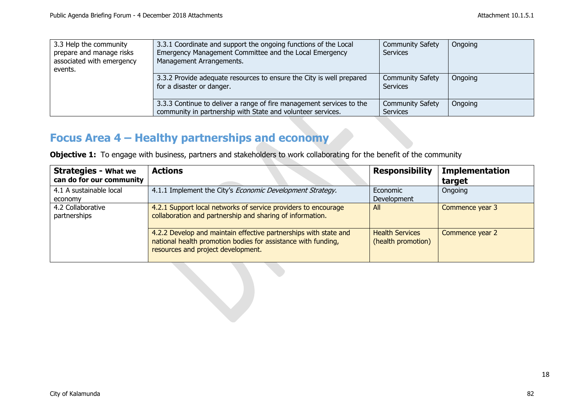| 3.3 Help the community<br>prepare and manage risks<br>associated with emergency<br>events. | 3.3.1 Coordinate and support the ongoing functions of the Local<br>Emergency Management Committee and the Local Emergency<br>Management Arrangements. | <b>Community Safety</b><br><b>Services</b> | Ongoing |
|--------------------------------------------------------------------------------------------|-------------------------------------------------------------------------------------------------------------------------------------------------------|--------------------------------------------|---------|
|                                                                                            | 3.3.2 Provide adequate resources to ensure the City is well prepared<br>for a disaster or danger.                                                     | <b>Community Safety</b><br><b>Services</b> | Ongoing |
|                                                                                            | 3.3.3 Continue to deliver a range of fire management services to the<br>community in partnership with State and volunteer services.                   | <b>Community Safety</b><br>Services        | Ongoing |

## **Focus Area 4 – Healthy partnerships and economy**

**Objective 1:** To engage with business, partners and stakeholders to work collaborating for the benefit of the community

| <b>Strategies - What we</b><br>can do for our community | <b>Actions</b>                                                                                                                                                          | <b>Responsibility</b>                        | <b>Implementation</b><br>target |
|---------------------------------------------------------|-------------------------------------------------------------------------------------------------------------------------------------------------------------------------|----------------------------------------------|---------------------------------|
| 4.1 A sustainable local<br>economy                      | 4.1.1 Implement the City's Economic Development Strategy.                                                                                                               | Economic<br>Development                      | Ongoing                         |
| 4.2 Collaborative<br>partnerships                       | 4.2.1 Support local networks of service providers to encourage<br>collaboration and partnership and sharing of information.                                             | All                                          | Commence year 3                 |
|                                                         | 4.2.2 Develop and maintain effective partnerships with state and<br>national health promotion bodies for assistance with funding,<br>resources and project development. | <b>Health Services</b><br>(health promotion) | Commence year 2                 |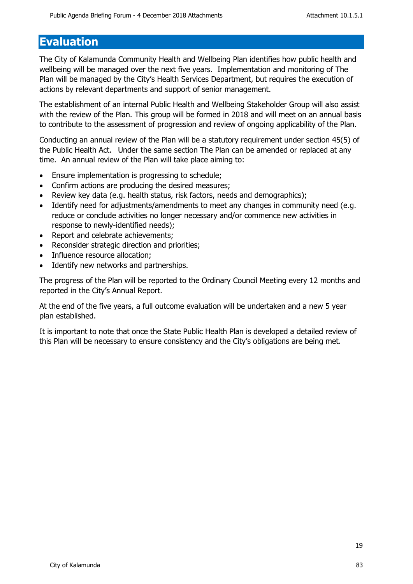## **Evaluation**

The City of Kalamunda Community Health and Wellbeing Plan identifies how public health and wellbeing will be managed over the next five years. Implementation and monitoring of The Plan will be managed by the City's Health Services Department, but requires the execution of actions by relevant departments and support of senior management.

The establishment of an internal Public Health and Wellbeing Stakeholder Group will also assist with the review of the Plan. This group will be formed in 2018 and will meet on an annual basis to contribute to the assessment of progression and review of ongoing applicability of the Plan.

Conducting an annual review of the Plan will be a statutory requirement under section 45(5) of the Public Health Act. Under the same section The Plan can be amended or replaced at any time. An annual review of the Plan will take place aiming to:

- Ensure implementation is progressing to schedule;
- Confirm actions are producing the desired measures;
- Review key data (e.g. health status, risk factors, needs and demographics);
- Identify need for adjustments/amendments to meet any changes in community need (e.g. reduce or conclude activities no longer necessary and/or commence new activities in response to newly-identified needs);
- Report and celebrate achievements;
- Reconsider strategic direction and priorities;
- Influence resource allocation;
- Identify new networks and partnerships.

The progress of the Plan will be reported to the Ordinary Council Meeting every 12 months and reported in the City's Annual Report.

At the end of the five years, a full outcome evaluation will be undertaken and a new 5 year plan established.

It is important to note that once the State Public Health Plan is developed a detailed review of this Plan will be necessary to ensure consistency and the City's obligations are being met.